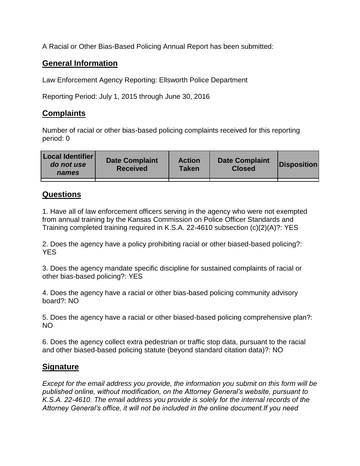A Racial or Other Bias-Based Policing Annual Report has been submitted:

## **General Information**

Law Enforcement Agency Reporting: Ellsworth Police Department

Reporting Period: July 1, 2015 through June 30, 2016

## **Complaints**

Number of racial or other bias-based policing complaints received for this reporting period: 0

| <b>Local Identifier</b><br>do not use<br>names | <b>Date Complaint</b><br><b>Received</b> | <b>Action</b><br><b>Taken</b> | <b>Date Complaint</b><br><b>Closed</b> | Disposition |
|------------------------------------------------|------------------------------------------|-------------------------------|----------------------------------------|-------------|
|                                                |                                          |                               |                                        |             |

## **Questions**

1. Have all of law enforcement officers serving in the agency who were not exempted from annual training by the Kansas Commission on Police Officer Standards and Training completed training required in K.S.A. 22-4610 subsection (c)(2)(A)?: YES

2. Does the agency have a policy prohibiting racial or other biased-based policing?: YES

3. Does the agency mandate specific discipline for sustained complaints of racial or other bias-based policing?: YES

4. Does the agency have a racial or other bias-based policing community advisory board?: NO

5. Does the agency have a racial or other biased-based policing comprehensive plan?: NO

6. Does the agency collect extra pedestrian or traffic stop data, pursuant to the racial and other biased-based policing statute (beyond standard citation data)?: NO

## **Signature**

*Except for the email address you provide, the information you submit on this form will be published online, without modification, on the Attorney General's website, pursuant to K.S.A. 22-4610. The email address you provide is solely for the internal records of the Attorney General's office, it will not be included in the online document.If you need*